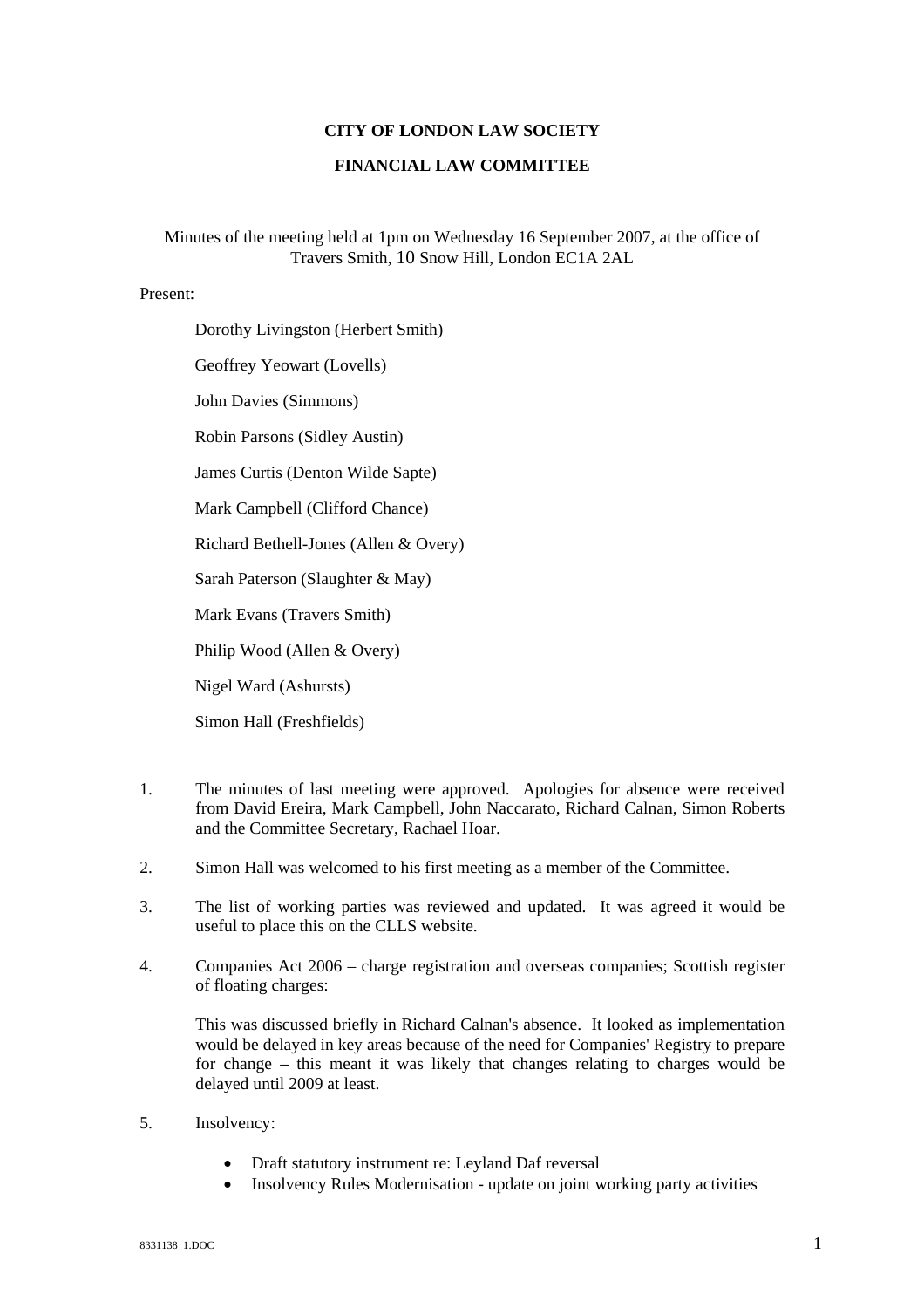## **CITY OF LONDON LAW SOCIETY**

## **FINANCIAL LAW COMMITTEE**

Minutes of the meeting held at 1pm on Wednesday 16 September 2007, at the office of Travers Smith, 10 Snow Hill, London EC1A 2AL

## Present:

Dorothy Livingston (Herbert Smith)

Geoffrey Yeowart (Lovells)

John Davies (Simmons)

Robin Parsons (Sidley Austin)

James Curtis (Denton Wilde Sapte)

Mark Campbell (Clifford Chance)

Richard Bethell-Jones (Allen & Overy)

Sarah Paterson (Slaughter & May)

Mark Evans (Travers Smith)

Philip Wood (Allen & Overy)

Nigel Ward (Ashursts)

Simon Hall (Freshfields)

- 1. The minutes of last meeting were approved. Apologies for absence were received from David Ereira, Mark Campbell, John Naccarato, Richard Calnan, Simon Roberts and the Committee Secretary, Rachael Hoar.
- 2. Simon Hall was welcomed to his first meeting as a member of the Committee.
- 3. The list of working parties was reviewed and updated. It was agreed it would be useful to place this on the CLLS website.
- 4. Companies Act 2006 charge registration and overseas companies; Scottish register of floating charges:

This was discussed briefly in Richard Calnan's absence. It looked as implementation would be delayed in key areas because of the need for Companies' Registry to prepare for change – this meant it was likely that changes relating to charges would be delayed until 2009 at least.

- 5. Insolvency:
	- Draft statutory instrument re: Leyland Daf reversal
	- Insolvency Rules Modernisation update on joint working party activities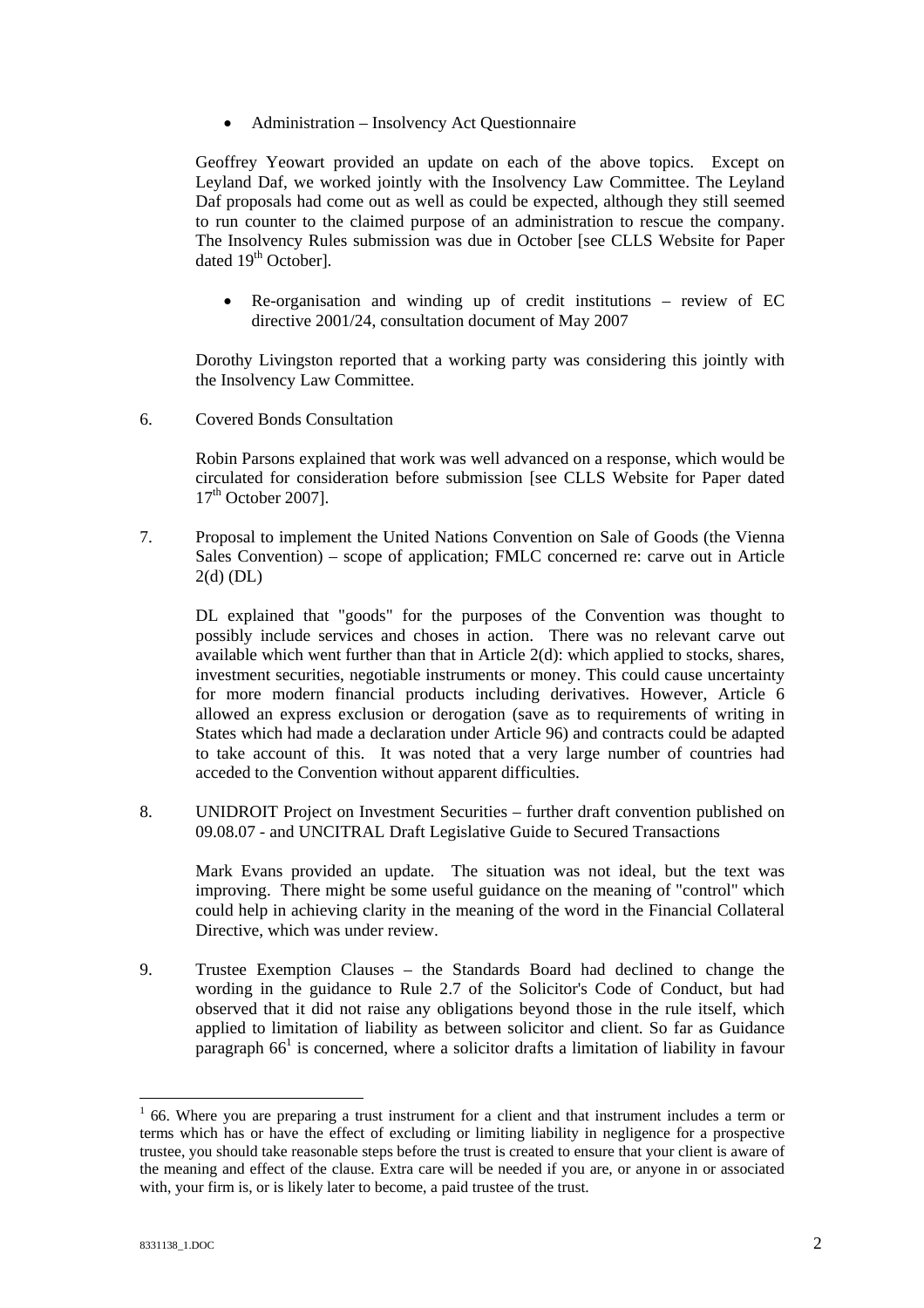• Administration – Insolvency Act Questionnaire

Geoffrey Yeowart provided an update on each of the above topics. Except on Leyland Daf, we worked jointly with the Insolvency Law Committee. The Leyland Daf proposals had come out as well as could be expected, although they still seemed to run counter to the claimed purpose of an administration to rescue the company. The Insolvency Rules submission was due in October [see CLLS Website for Paper dated 19<sup>th</sup> October].

• Re-organisation and winding up of credit institutions – review of EC directive 2001/24, consultation document of May 2007

Dorothy Livingston reported that a working party was considering this jointly with the Insolvency Law Committee.

6. Covered Bonds Consultation

Robin Parsons explained that work was well advanced on a response, which would be circulated for consideration before submission [see CLLS Website for Paper dated  $17<sup>th</sup>$  October 2007].

7. Proposal to implement the United Nations Convention on Sale of Goods (the Vienna Sales Convention) – scope of application; FMLC concerned re: carve out in Article 2(d) (DL)

DL explained that "goods" for the purposes of the Convention was thought to possibly include services and choses in action. There was no relevant carve out available which went further than that in Article 2(d): which applied to stocks, shares, investment securities, negotiable instruments or money. This could cause uncertainty for more modern financial products including derivatives. However, Article 6 allowed an express exclusion or derogation (save as to requirements of writing in States which had made a declaration under Article 96) and contracts could be adapted to take account of this. It was noted that a very large number of countries had acceded to the Convention without apparent difficulties.

8. UNIDROIT Project on Investment Securities – further draft convention published on 09.08.07 - and UNCITRAL Draft Legislative Guide to Secured Transactions

Mark Evans provided an update. The situation was not ideal, but the text was improving. There might be some useful guidance on the meaning of "control" which could help in achieving clarity in the meaning of the word in the Financial Collateral Directive, which was under review.

9. Trustee Exemption Clauses – the Standards Board had declined to change the wording in the guidance to Rule 2.7 of the Solicitor's Code of Conduct, but had observed that it did not raise any obligations beyond those in the rule itself, which applied to limitation of liability as between solicitor and client. So far as Guidance  $\frac{1}{2}$  $\frac{1}{2}$  $\frac{1}{2}$  paragraph 66<sup>1</sup> is concerned, where a solicitor drafts a limitation of liability in favour

 $\overline{a}$ 

<span id="page-1-0"></span> $1$  66. Where you are preparing a trust instrument for a client and that instrument includes a term or terms which has or have the effect of excluding or limiting liability in negligence for a prospective trustee, you should take reasonable steps before the trust is created to ensure that your client is aware of the meaning and effect of the clause. Extra care will be needed if you are, or anyone in or associated with, your firm is, or is likely later to become, a paid trustee of the trust.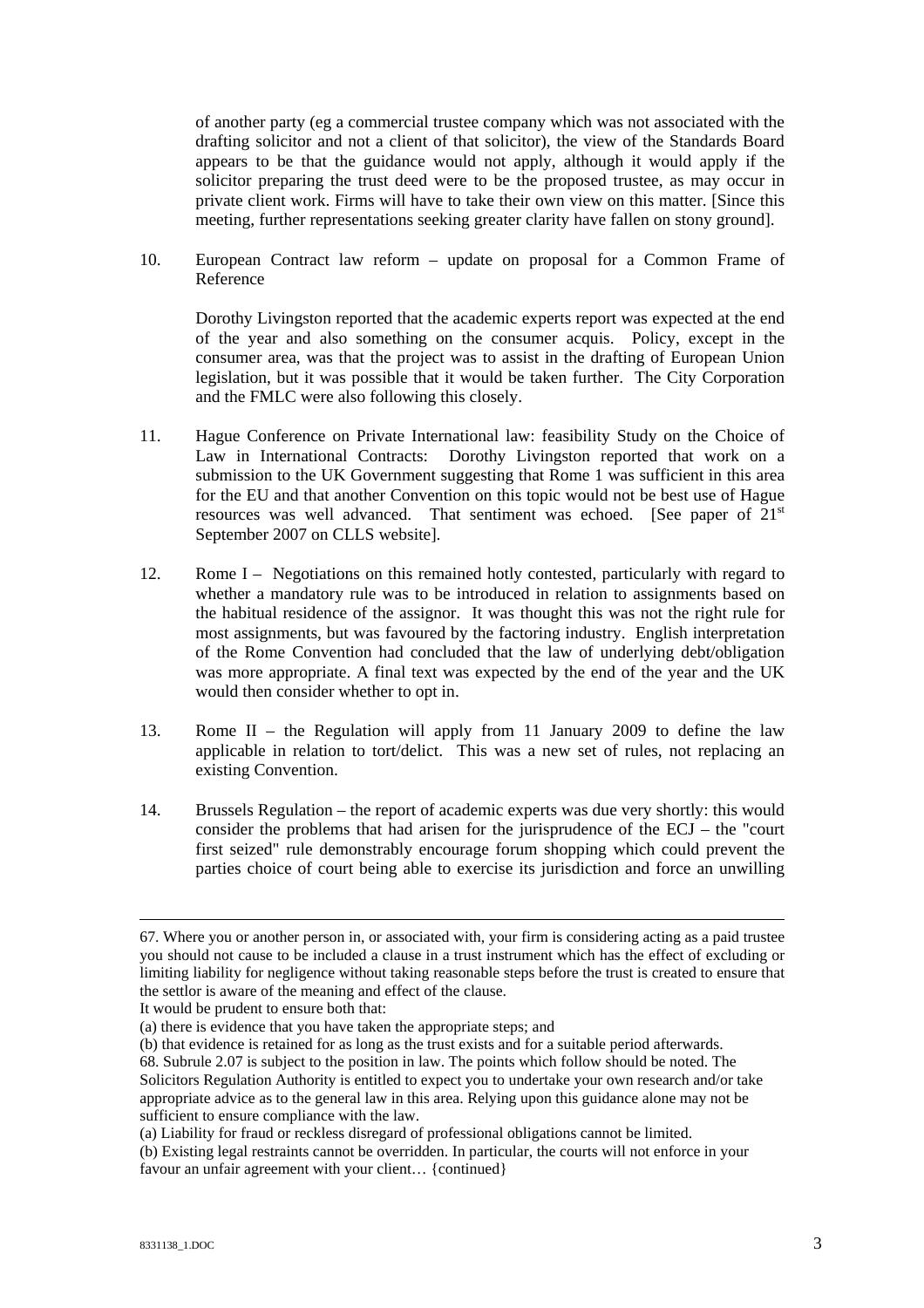of another party (eg a commercial trustee company which was not associated with the drafting solicitor and not a client of that solicitor), the view of the Standards Board appears to be that the guidance would not apply, although it would apply if the solicitor preparing the trust deed were to be the proposed trustee, as may occur in private client work. Firms will have to take their own view on this matter. [Since this meeting, further representations seeking greater clarity have fallen on stony ground].

10. European Contract law reform – update on proposal for a Common Frame of Reference

Dorothy Livingston reported that the academic experts report was expected at the end of the year and also something on the consumer acquis. Policy, except in the consumer area, was that the project was to assist in the drafting of European Union legislation, but it was possible that it would be taken further. The City Corporation and the FMLC were also following this closely.

- 11. Hague Conference on Private International law: feasibility Study on the Choice of Law in International Contracts: Dorothy Livingston reported that work on a submission to the UK Government suggesting that Rome 1 was sufficient in this area for the EU and that another Convention on this topic would not be best use of Hague resources was well advanced. That sentiment was echoed. [See paper of 21<sup>st</sup> September 2007 on CLLS website].
- 12. Rome I Negotiations on this remained hotly contested, particularly with regard to whether a mandatory rule was to be introduced in relation to assignments based on the habitual residence of the assignor. It was thought this was not the right rule for most assignments, but was favoured by the factoring industry. English interpretation of the Rome Convention had concluded that the law of underlying debt/obligation was more appropriate. A final text was expected by the end of the year and the UK would then consider whether to opt in.
- 13. Rome II the Regulation will apply from 11 January 2009 to define the law applicable in relation to tort/delict. This was a new set of rules, not replacing an existing Convention.
- 14. Brussels Regulation the report of academic experts was due very shortly: this would consider the problems that had arisen for the jurisprudence of the ECJ – the "court first seized" rule demonstrably encourage forum shopping which could prevent the parties choice of court being able to exercise its jurisdiction and force an unwilling

It would be prudent to ensure both that:

(b) that evidence is retained for as long as the trust exists and for a suitable period afterwards.

 <sup>67.</sup> Where you or another person in, or associated with, your firm is considering acting as a paid trustee you should not cause to be included a clause in a trust instrument which has the effect of excluding or limiting liability for negligence without taking reasonable steps before the trust is created to ensure that the settlor is aware of the meaning and effect of the clause.

<sup>(</sup>a) there is evidence that you have taken the appropriate steps; and

<sup>68.</sup> Subrule 2.07 is subject to the position in law. The points which follow should be noted. The Solicitors Regulation Authority is entitled to expect you to undertake your own research and/or take appropriate advice as to the general law in this area. Relying upon this guidance alone may not be sufficient to ensure compliance with the law.

<sup>(</sup>a) Liability for fraud or reckless disregard of professional obligations cannot be limited.

<sup>(</sup>b) Existing legal restraints cannot be overridden. In particular, the courts will not enforce in your favour an unfair agreement with your client... {continued}